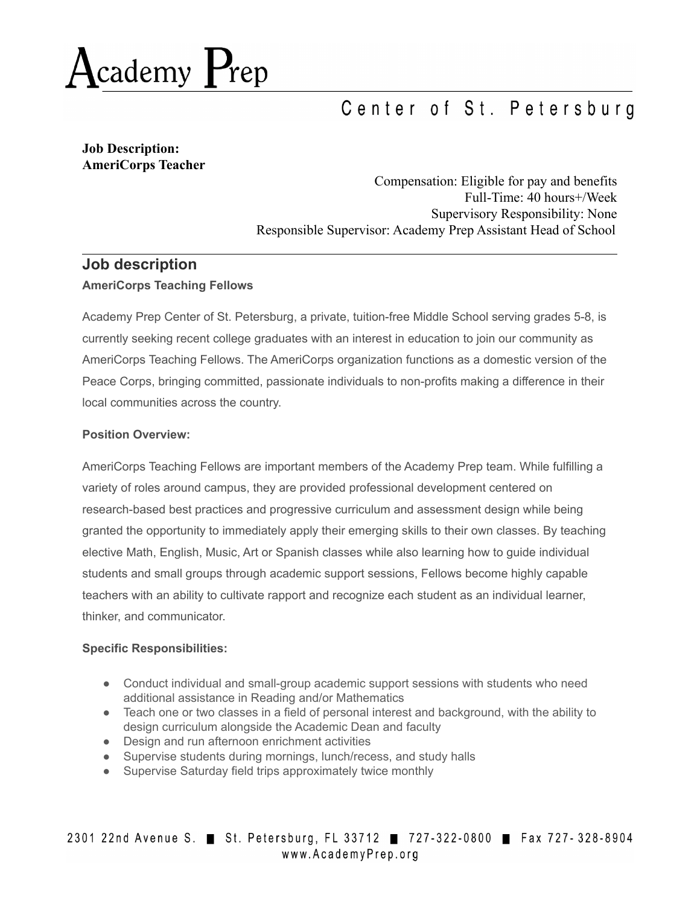

# Center of St. Petersburg

**Job Description: AmeriCorps Teacher**

> Compensation: Eligible for pay and benefits Full-Time: 40 hours+/Week Supervisory Responsibility: None Responsible Supervisor: Academy Prep Assistant Head of School

## **Job description AmeriCorps Teaching Fellows**

Academy Prep Center of St. Petersburg, a private, tuition-free Middle School serving grades 5-8, is currently seeking recent college graduates with an interest in education to join our community as AmeriCorps Teaching Fellows. The AmeriCorps organization functions as a domestic version of the Peace Corps, bringing committed, passionate individuals to non-profits making a difference in their local communities across the country.

### **Position Overview:**

AmeriCorps Teaching Fellows are important members of the Academy Prep team. While fulfilling a variety of roles around campus, they are provided professional development centered on research-based best practices and progressive curriculum and assessment design while being granted the opportunity to immediately apply their emerging skills to their own classes. By teaching elective Math, English, Music, Art or Spanish classes while also learning how to guide individual students and small groups through academic support sessions, Fellows become highly capable teachers with an ability to cultivate rapport and recognize each student as an individual learner, thinker, and communicator.

### **Specific Responsibilities:**

- Conduct individual and small-group academic support sessions with students who need additional assistance in Reading and/or Mathematics
- Teach one or two classes in a field of personal interest and background, with the ability to design curriculum alongside the Academic Dean and faculty
- Design and run afternoon enrichment activities
- Supervise students during mornings, lunch/recess, and study halls
- Supervise Saturday field trips approximately twice monthly

2301 22nd Avenue S. St. Petersburg, FL 33712 727-322-0800 Fax 727-328-8904 www.AcademyPrep.org